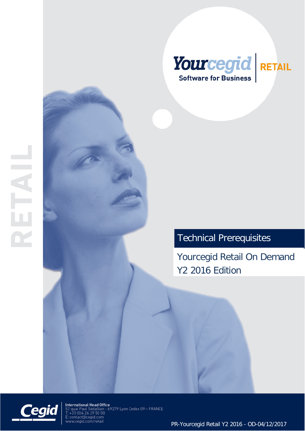

# Technical Prerequisites

Yourcegid Retail On Demand Y2 2016 Edition



 $\overline{1}$ 

International Head Office<br>52 quai Paul Sédallian - 69279 Lyon Cedex 09 – FRANCE<br>T: +33 (0)4 26 29 50 00 : : contact@cegid.com<br>: contact@cegid.com<br>ww.cegid.com/retail

PR-Yourcegid Retail Y2 2016 - OD-04/12/2017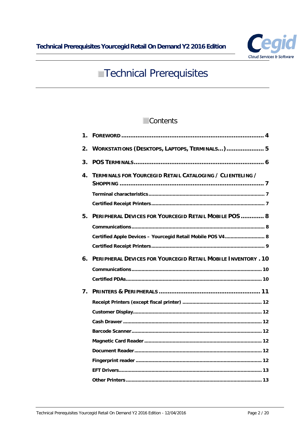

# **Technical Prerequisites**

### **Contents**

| 1. |                                                                      |
|----|----------------------------------------------------------------------|
| 2. | WORKSTATIONS (DESKTOPS, LAPTOPS, TERMINALS) 5                        |
| 3. |                                                                      |
| 4. | TERMINALS FOR YOURCEGID RETAIL CATALOGING / CLIENTELING /            |
|    |                                                                      |
|    |                                                                      |
| 5. | <b>PERIPHERAL DEVICES FOR YOURCEGID RETAIL MOBILE POS  8</b>         |
|    |                                                                      |
|    | Certified Apple Devices - Yourcegid Retail Mobile POS V4 8           |
|    |                                                                      |
| 6. | <b>PERIPHERAL DEVICES FOR YOURCEGID RETAIL MOBILE INVENTORY . 10</b> |
|    |                                                                      |
|    |                                                                      |
| 7. |                                                                      |
|    |                                                                      |
|    |                                                                      |
|    |                                                                      |
|    |                                                                      |
|    |                                                                      |
|    |                                                                      |
|    |                                                                      |
|    |                                                                      |
|    |                                                                      |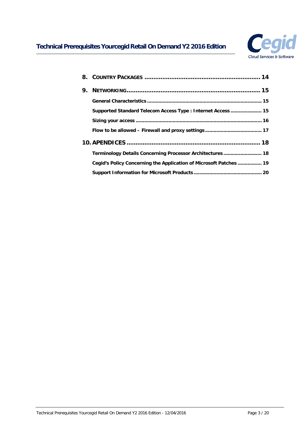

| 9. |                                                                    |  |
|----|--------------------------------------------------------------------|--|
|    |                                                                    |  |
|    | Supported Standard Telecom Access Type : Internet Access  15       |  |
|    |                                                                    |  |
|    |                                                                    |  |
|    |                                                                    |  |
|    | Terminology Details Concerning Processor Architectures  18         |  |
|    | Cegid's Policy Concerning the Application of Microsoft Patches  19 |  |
|    |                                                                    |  |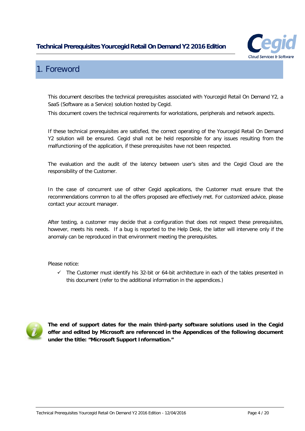

# <span id="page-3-0"></span>1. Foreword

This document describes the technical prerequisites associated with Yourcegid Retail On Demand Y2, a SaaS (Software as a Service) solution hosted by Cegid.

This document covers the technical requirements for workstations, peripherals and network aspects.

If these technical prerequisites are satisfied, the correct operating of the Yourcegid Retail On Demand Y2 solution will be ensured. Cegid shall not be held responsible for any issues resulting from the malfunctioning of the application, if these prerequisites have not been respected.

The evaluation and the audit of the latency between user's sites and the Cegid Cloud are the responsibility of the Customer.

In the case of concurrent use of other Cegid applications, the Customer must ensure that the recommendations common to all the offers proposed are effectively met. For customized advice, please contact your account manager.

After testing, a customer may decide that a configuration that does not respect these prerequisites, however, meets his needs. If a bug is reported to the Help Desk, the latter will intervene only if the anomaly can be reproduced in that environment meeting the prerequisites.

Please notice:

 $\checkmark$  The Customer must identify his 32-bit or 64-bit architecture in each of the tables presented in this document (refer to the additional information in the appendices.)



**The end of support dates for the main third-party software solutions used in the Cegid offer and edited by Microsoft are referenced in the Appendices of the following document under the title: "Microsoft Support Information."**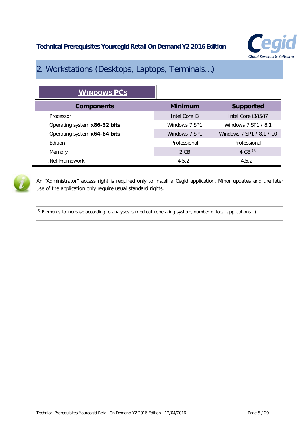

# <span id="page-4-0"></span>2. Workstations (Desktops, Laptops, Terminals…)

| <b>WINDOWS PCS</b>           |                |                          |
|------------------------------|----------------|--------------------------|
| <b>Components</b>            | <b>Minimum</b> | <b>Supported</b>         |
| Processor                    | Intel Core i3  | Intel Core i3/i5/i7      |
| Operating system x86-32 bits | Windows 7 SP1  | Windows 7 SP1 / 8.1      |
| Operating system x64-64 bits | Windows 7 SP1  | Windows 7 SP1 / 8.1 / 10 |
| Edition                      | Professional   | Professional             |
| Memory                       | 2 GB           | 4 GB $(1)$               |
| Net Framework                | 4.5.2          | 4.5.2                    |



An "Administrator" access right is required only to install a Cegid application. Minor updates and the later use of the application only require usual standard rights.

(1) Elements to increase according to analyses carried out (operating system, number of local applications…)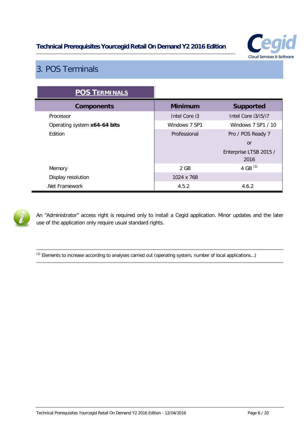

# <span id="page-5-0"></span>3. POS Terminals

| <b>POS TERMINALS</b>         |                |                        |
|------------------------------|----------------|------------------------|
| <b>Components</b>            | <b>Minimum</b> | <b>Supported</b>       |
| Processor                    | Intel Core i3  | Intel Core i3/i5/i7    |
| Operating system x64-64 bits | Windows 7 SP1  | Windows 7 SP1 / 10     |
| Edition                      | Professional   | Pro / POS Ready 7      |
|                              |                | or                     |
|                              |                | Enterprise LTSB 2015 / |
|                              |                | 2016                   |
| Memory                       | 2 GB           | 4 GB $(1)$             |
| Display resolution           | 1024 x 768     |                        |
| Net Framework                | 4.5.2          | 4.6.2                  |



i

An "Administrator" access right is required only to install a Cegid application. Minor updates and the later use of the application only require usual standard rights.

 $(1)$  Elements to increase according to analyses carried out (operating system, number of local applications...)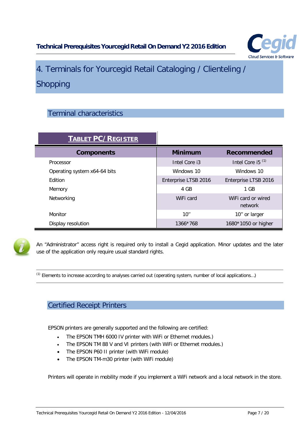

# <span id="page-6-0"></span>4. Terminals for Yourcegid Retail Cataloging / Clienteling / Shopping

## <span id="page-6-1"></span>Terminal characteristics

| <b>TABLET PC/REGISTER</b>    |                      |                               |
|------------------------------|----------------------|-------------------------------|
| <b>Components</b>            | <b>Minimum</b>       | Recommended                   |
| Processor                    | Intel Core i3        | Intel Core i5 $(1)$           |
| Operating system x64-64 bits | Windows 10           | Windows 10                    |
| <b>F</b> dition              | Enterprise LTSB 2016 | Enterprise LTSB 2016          |
| Memory                       | 4 GB                 | 1 GB                          |
| Networking                   | WiFi card            | WiFi card or wired<br>network |
| Monitor                      | 10''                 | 10" or larger                 |
| Display resolution           | 1366*768             | 1680*1050 or higher           |



An "Administrator" access right is required only to install a Cegid application. Minor updates and the later use of the application only require usual standard rights.

<span id="page-6-2"></span>(1) Elements to increase according to analyses carried out (operating system, number of local applications…)

## Certified Receipt Printers

EPSON printers are generally supported and the following are certified:

- The EPSON TMH 6000 IV printer with WiFi or Ethernet modules.)
- The EPSON TM 88 V and VI printers (with WiFi or Ethernet modules.)
- The EPSON P60 II printer (with WiFi module)
- The EPSON TM-m30 printer (with WiFi module)

Printers will operate in mobility mode if you implement a WiFi network and a local network in the store.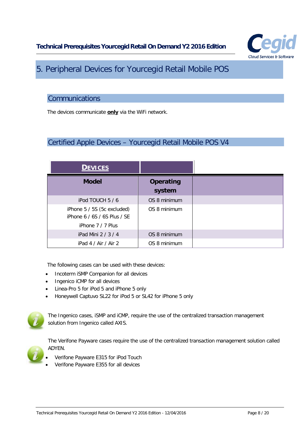

# <span id="page-7-0"></span>5. Peripheral Devices for Yourcegid Retail Mobile POS

#### <span id="page-7-1"></span>**Communications**

<span id="page-7-2"></span>The devices communicate **only** via the WiFi network.

#### Certified Apple Devices – Yourcegid Retail Mobile POS V4

| <b>DEVICES</b>                                              |                            |
|-------------------------------------------------------------|----------------------------|
| <b>Model</b>                                                | <b>Operating</b><br>system |
| iPod TOUCH 5 / 6                                            | OS 8 minimum               |
| iPhone 5 / 5S (5c excluded)<br>iPhone 6 / 6S / 6S Plus / SE | OS 8 minimum               |
| iPhone $7/7$ Plus                                           |                            |
| iPad Mini $2/3/4$                                           | OS 8 minimum               |
| iPad 4 / Air / Air 2                                        | OS 8 minimum               |

The following cases can be used with these devices:

- Incoterm iSMP Companion for all devices
- Ingenico iCMP for all devices
- Linea-Pro 5 for iPod 5 and iPhone 5 only
- Honeywell Captuvo SL22 for iPod 5 or SL42 for iPhone 5 only



The Ingenico cases, iSMP and iCMP, require the use of the centralized transaction management solution from Ingenico called AXIS.

The Verifone Payware cases require the use of the centralized transaction management solution called ADYEN.

- Verifone Payware E315 for iPod Touch
- Verifone Payware E355 for all devices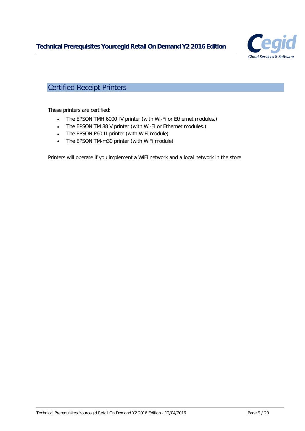

#### <span id="page-8-0"></span>Certified Receipt Printers

These printers are certified:

- The EPSON TMH 6000 IV printer (with Wi-Fi or Ethernet modules.)
- The EPSON TM 88 V printer (with Wi-Fi or Ethernet modules.)
- The EPSON P60 II printer (with WiFi module)
- The EPSON TM-m30 printer (with WiFi module)

Printers will operate if you implement a WiFi network and a local network in the store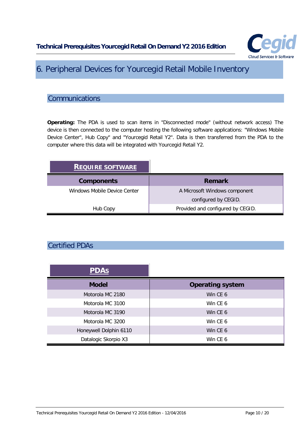

# <span id="page-9-0"></span>6. Peripheral Devices for Yourcegid Retail Mobile Inventory

#### <span id="page-9-1"></span>**Communications**

**Operating:** The PDA is used to scan items in "Disconnected mode" (without network access) The device is then connected to the computer hosting the following software applications: "Windows Mobile Device Center", Hub Copy" and "Yourcegid Retail Y2". Data is then transferred from the PDA to the computer where this data will be integrated with Yourcegid Retail Y2.

| <b>REQUIRE SOFTWARE</b>      |                                   |
|------------------------------|-----------------------------------|
| <b>Components</b>            | <b>Remark</b>                     |
| Windows Mobile Device Center | A Microsoft Windows component     |
|                              | configured by CEGID.              |
| Hub Copy                     | Provided and configured by CEGID. |

## <span id="page-9-2"></span>Certified PDAs

| <b>PDAS</b>            |                         |
|------------------------|-------------------------|
| <b>Model</b>           | <b>Operating system</b> |
| Motorola MC 2180       | Win CE 6                |
| Motorola MC 3100       | Win CE 6                |
| Motorola MC 3190       | Win CE 6                |
| Motorola MC 3200       | Win CE 6                |
| Honeywell Dolphin 6110 | Win CE 6                |
| Datalogic Skorpio X3   | Win CE 6                |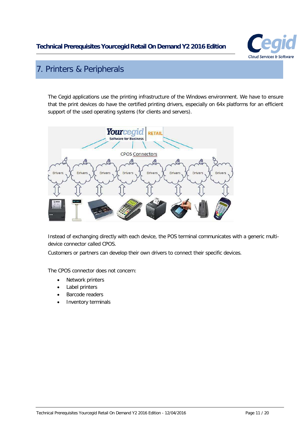

# <span id="page-10-0"></span>7. Printers & Peripherals

The Cegid applications use the printing infrastructure of the Windows environment. We have to ensure that the print devices do have the certified printing drivers, especially on 64x platforms for an efficient support of the used operating systems (for clients and servers).



Instead of exchanging directly with each device, the POS terminal communicates with a generic multidevice connector called CPOS.

Customers or partners can develop their own drivers to connect their specific devices.

The CPOS connector does not concern:

- Network printers
- Label printers
- Barcode readers
- Inventory terminals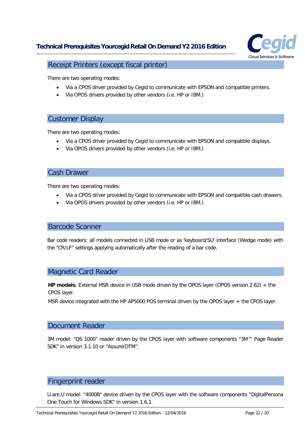

<span id="page-11-0"></span>Receipt Printers (except fiscal printer)

There are two operating modes:

- Via a CPOS driver provided by Cegid to communicate with EPSON and compatible printers.
- Via OPOS drivers provided by other vendors (i.e. HP or IBM.)

#### <span id="page-11-1"></span>Customer Display

There are two operating modes:

- Via a CPOS driver provided by Cegid to communicate with EPSON and compatible displays.
- Via OPOS drivers provided by other vendors (i.e. HP or IBM.)

#### <span id="page-11-2"></span>Cash Drawer

There are two operating modes:

- Via a CPOS driver provided by Cegid to communicate with EPSON and compatible cash drawers.
- Via OPOS drivers provided by other vendors (i.e. HP or IBM.)

#### <span id="page-11-3"></span>Barcode Scanner

<span id="page-11-4"></span>Bar code readers: all models connected in USB mode or as 'keyboard/SU' interface (Wedge mode) with the "CR/LF" settings applying automatically after the reading of a bar code.

#### Magnetic Card Reader

**HP models**: External MSR device in USB mode driven by the OPOS layer (OPOS version 2.62) + the CPOS layer.

<span id="page-11-5"></span>MSR device integrated with the HP AP5000 POS terminal driven by the OPOS layer + the CPOS layer.

#### Document Reader

3M model: "QS 1000" reader driven by the CPOS layer with software components "3M™ Page Reader SDK" in version 3.1.10 or "AssureIDTM".

#### <span id="page-11-6"></span>Fingerprint reader

U.are.U model: "4000B" device driven by the CPOS layer with the software components "DigitalPersona One Touch for Windows SDK" in version 1.6.1.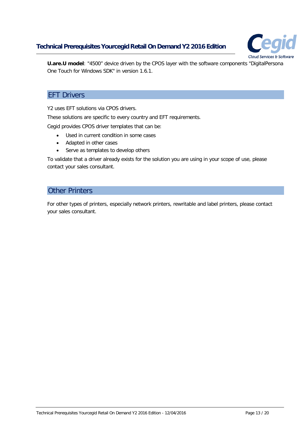

<span id="page-12-0"></span>**U.are.U model**: "4500" device driven by the CPOS layer with the software components "DigitalPersona One Touch for Windows SDK" in version 1.6.1.

#### **EFT Drivers**

Y2 uses EFT solutions via CPOS drivers.

These solutions are specific to every country and EFT requirements.

Cegid provides CPOS driver templates that can be:

- Used in current condition in some cases
- Adapted in other cases
- Serve as templates to develop others

<span id="page-12-1"></span>To validate that a driver already exists for the solution you are using in your scope of use, please contact your sales consultant.

#### Other Printers

For other types of printers, especially network printers, rewritable and label printers, please contact your sales consultant.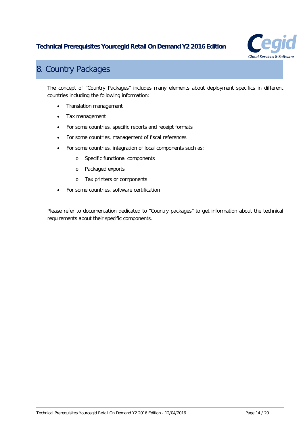

# <span id="page-13-0"></span>8. Country Packages

The concept of "Country Packages" includes many elements about deployment specifics in different countries including the following information:

- Translation management
- Tax management
- For some countries, specific reports and receipt formats
- For some countries, management of fiscal references
- For some countries, integration of local components such as:
	- o Specific functional components
	- o Packaged exports
	- o Tax printers or components
- For some countries, software certification

Please refer to documentation dedicated to "Country packages" to get information about the technical requirements about their specific components.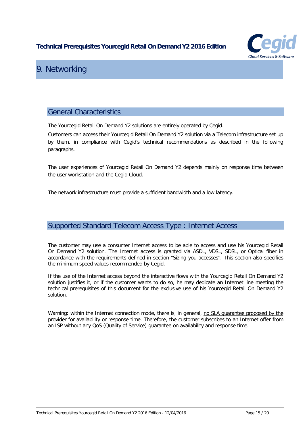

# <span id="page-14-0"></span>9. Networking

#### <span id="page-14-1"></span>General Characteristics

The Yourcegid Retail On Demand Y2 solutions are entirely operated by Cegid.

Customers can access their Yourcegid Retail On Demand Y2 solution via a Telecom infrastructure set up by them, in compliance with Cegid's technical recommendations as described in the following paragraphs.

The user experiences of Yourcegid Retail On Demand Y2 depends mainly on response time between the user workstation and the Cegid Cloud.

<span id="page-14-2"></span>The network infrastructure must provide a sufficient bandwidth and a low latency.

#### Supported Standard Telecom Access Type : Internet Access

The customer may use a consumer Internet access to be able to access and use his Yourcegid Retail On Demand Y2 solution. The Internet access is granted via ASDL, VDSL, SDSL, or Optical fiber in accordance with the requirements defined in section "Sizing you accesses". This section also specifies the minimum speed values recommended by Cegid.

If the use of the Internet access beyond the interactive flows with the Yourcegid Retail On Demand Y2 solution justifies it, or if the customer wants to do so, he may dedicate an Internet line meeting the technical prerequisites of this document for the exclusive use of his Yourcegid Retail On Demand Y2 solution.

Warning: within the Internet connection mode, there is, in general, no SLA guarantee proposed by the provider for availability or response time. Therefore, the customer subscribes to an Internet offer from an ISP without any QoS (Quality of Service) guarantee on availability and response time.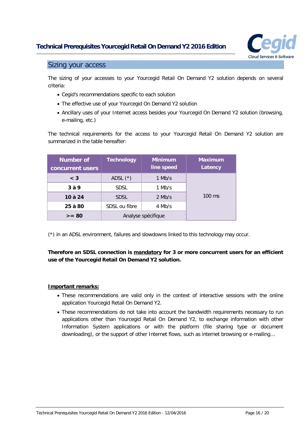

#### <span id="page-15-0"></span>Sizing your access

The sizing of your accesses to your Yourcegid Retail On Demand Y2 solution depends on several criteria:

- Cegid's recommendations specific to each solution
- The effective use of your Yourcegid On Demand Y2 solution
- Ancillary uses of your Internet access besides your Yourcegid On Demand Y2 solution (browsing, e-mailing, etc.)

The technical requirements for the access to your Yourcegid Retail On Demand Y2 solution are summarized in the table hereafter:

| <b>Number of</b><br>concurrent users | <b>Technology</b>  | <b>Minimum</b><br>line speed | <b>Maximum</b><br>Latency |
|--------------------------------------|--------------------|------------------------------|---------------------------|
| $<$ 3                                | ADSL $(*)$         | 1 Mb/s                       |                           |
| 3à9                                  | <b>SDSL</b>        | $1$ Mb/s                     |                           |
| 10 à 24                              | <b>SDSL</b>        | $2$ Mb/s                     | $100$ ms                  |
| 25 à 80                              | SDSL ou fibre      | 4 Mb/s                       |                           |
| $>= 80$                              | Analyse spécifique |                              |                           |

(\*) in an ADSL environment, failures and slowdowns linked to this technology may occur.

#### **Therefore an SDSL connection is mandatory for 3 or more concurrent users for an efficient use of the Yourcegid Retail On Demand Y2 solution.**

#### **Important remarks:**

- These recommendations are valid only in the context of interactive sessions with the online application Yourcegid Retail On Demand Y2.
- These recommendations do not take into account the bandwidth requirements necessary to run applications other than Yourcegid Retail On Demand Y2, to exchange information with other Information System applications or with the platform (file sharing type or document downloading), or the support of other Internet flows, such as internet browsing or e-mailing…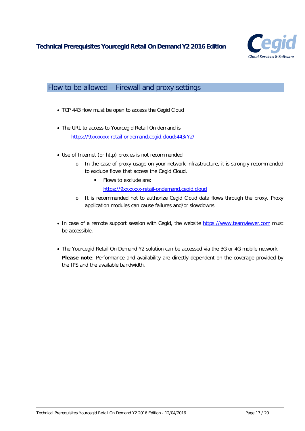

#### <span id="page-16-0"></span>Flow to be allowed – Firewall and proxy settings

- TCP 443 flow must be open to access the Cegid Cloud
- The URL to access to Yourcegid Retail On demand is [https://9xxxxxxx-retail-ondemand.cegid.cloud:443/Y2/](https://9xxxxxxx-retail-ondemand.cegid.cloud/Y2/)
- Use of Internet (or http) proxies is not recommended
	- o In the case of proxy usage on your network infrastructure, it is strongly recommended to exclude flows that access the Cegid Cloud.
		- Flows to exclude are:

[https://9xxxxxxx-retail-ondemand.cegid.cloud](https://9xxxxxxx-retail-ondemand.cegid.cloud/)

- o It is recommended not to authorize Cegid Cloud data flows through the proxy. Proxy application modules can cause failures and/or slowdowns.
- In case of a remote support session with Cegid, the website [https://www.teamviewer.com](https://www.teamviewer.com/) must be accessible.
- The Yourcegid Retail On Demand Y2 solution can be accessed via the 3G or 4G mobile network. **Please note**: Performance and availability are directly dependent on the coverage provided by the IPS and the available bandwidth.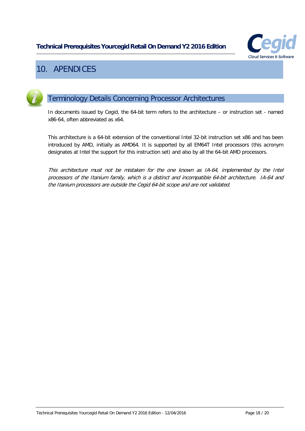

# <span id="page-17-0"></span>10. APENDICES

<span id="page-17-1"></span>

### Terminology Details Concerning Processor Architectures

In documents issued by Cegid, the 64-bit term refers to the architecture – or instruction set - named x86-64, often abbreviated as x64.

This architecture is a 64-bit extension of the conventional Intel 32-bit instruction set x86 and has been introduced by AMD, initially as AMD64. It is supported by all EM64T Intel processors (this acronym designates at Intel the support for this instruction set) and also by all the 64-bit AMD processors.

This architecture must not be mistaken for the one known as IA-64, implemented by the Intel processors of the Itanium family, which is a distinct and incompatible 64-bit architecture. IA-64 and the Itanium processors are outside the Cegid 64-bit scope and are not validated.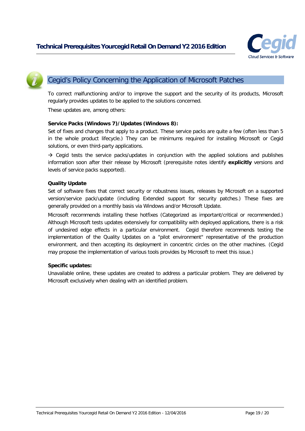

### <span id="page-18-0"></span>Cegid's Policy Concerning the Application of Microsoft Patches

To correct malfunctioning and/or to improve the support and the security of its products, Microsoft regularly provides updates to be applied to the solutions concerned.

These updates are, among others:

#### **Service Packs (Windows 7)/Updates (Windows 8):**

Set of fixes and changes that apply to a product. These service packs are quite a few (often less than 5 in the whole product lifecycle.) They can be minimums required for installing Microsoft or Cegid solutions, or even third-party applications.

 $\rightarrow$  Cegid tests the service packs/updates in conjunction with the applied solutions and publishes information soon after their release by Microsoft (prerequisite notes identify **explicitly** versions and levels of service packs supported).

#### **Quality Update**

Set of software fixes that correct security or robustness issues, releases by Microsoft on a supported version/service pack/update (including Extended support for security patches.) These fixes are generally provided on a monthly basis via Windows and/or Microsoft Update.

Microsoft recommends installing these hotfixes (Categorized as important/critical or recommended.) Although Microsoft tests updates extensively for compatibility with deployed applications, there is a risk of undesired edge effects in a particular environment. Cegid therefore recommends testing the implementation of the Quality Updates on a "pilot environment" representative of the production environment, and then accepting its deployment in concentric circles on the other machines. (Cegid may propose the implementation of various tools provides by Microsoft to meet this issue.)

#### **Specific updates:**

Unavailable online, these updates are created to address a particular problem. They are delivered by Microsoft exclusively when dealing with an identified problem.